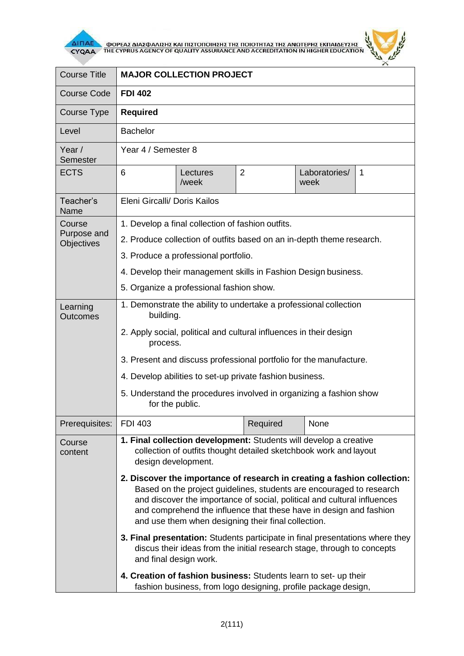

 $\overline{\Delta}$  (ΠΑΕ<br>CYQAA THE CYPRUS AGENCY OF QUALITY ASSURANCE AND ACCREDITATION IN HIGHER EDUCATION



| <b>Course Title</b>                 | <b>MAJOR COLLECTION PROJECT</b>                                                                                                                                                                                                                                                                                                                           |                   |                |                       |   |  |
|-------------------------------------|-----------------------------------------------------------------------------------------------------------------------------------------------------------------------------------------------------------------------------------------------------------------------------------------------------------------------------------------------------------|-------------------|----------------|-----------------------|---|--|
| <b>Course Code</b>                  | <b>FDI 402</b>                                                                                                                                                                                                                                                                                                                                            |                   |                |                       |   |  |
| Course Type                         | <b>Required</b>                                                                                                                                                                                                                                                                                                                                           |                   |                |                       |   |  |
| Level                               | <b>Bachelor</b>                                                                                                                                                                                                                                                                                                                                           |                   |                |                       |   |  |
| Year /<br>Semester                  | Year 4 / Semester 8                                                                                                                                                                                                                                                                                                                                       |                   |                |                       |   |  |
| <b>ECTS</b>                         | 6                                                                                                                                                                                                                                                                                                                                                         | Lectures<br>/week | $\overline{2}$ | Laboratories/<br>week | 1 |  |
| Teacher's<br>Name                   | Eleni Gircalli/ Doris Kailos                                                                                                                                                                                                                                                                                                                              |                   |                |                       |   |  |
| Course<br>Purpose and<br>Objectives | 1. Develop a final collection of fashion outfits.                                                                                                                                                                                                                                                                                                         |                   |                |                       |   |  |
|                                     | 2. Produce collection of outfits based on an in-depth theme research.                                                                                                                                                                                                                                                                                     |                   |                |                       |   |  |
|                                     | 3. Produce a professional portfolio.                                                                                                                                                                                                                                                                                                                      |                   |                |                       |   |  |
|                                     | 4. Develop their management skills in Fashion Design business.                                                                                                                                                                                                                                                                                            |                   |                |                       |   |  |
|                                     | 5. Organize a professional fashion show.                                                                                                                                                                                                                                                                                                                  |                   |                |                       |   |  |
| Learning<br><b>Outcomes</b>         | 1. Demonstrate the ability to undertake a professional collection<br>building.                                                                                                                                                                                                                                                                            |                   |                |                       |   |  |
|                                     | 2. Apply social, political and cultural influences in their design<br>process.                                                                                                                                                                                                                                                                            |                   |                |                       |   |  |
|                                     | 3. Present and discuss professional portfolio for the manufacture.                                                                                                                                                                                                                                                                                        |                   |                |                       |   |  |
|                                     | 4. Develop abilities to set-up private fashion business.                                                                                                                                                                                                                                                                                                  |                   |                |                       |   |  |
|                                     | 5. Understand the procedures involved in organizing a fashion show<br>for the public.                                                                                                                                                                                                                                                                     |                   |                |                       |   |  |
| Prerequisites:                      | <b>FDI 403</b>                                                                                                                                                                                                                                                                                                                                            |                   | Required       | None                  |   |  |
| Course<br>content                   | 1. Final collection development: Students will develop a creative<br>collection of outfits thought detailed sketchbook work and layout<br>design development.                                                                                                                                                                                             |                   |                |                       |   |  |
|                                     | 2. Discover the importance of research in creating a fashion collection:<br>Based on the project guidelines, students are encouraged to research<br>and discover the importance of social, political and cultural influences<br>and comprehend the influence that these have in design and fashion<br>and use them when designing their final collection. |                   |                |                       |   |  |
|                                     | 3. Final presentation: Students participate in final presentations where they<br>discus their ideas from the initial research stage, through to concepts<br>and final design work.                                                                                                                                                                        |                   |                |                       |   |  |
|                                     | 4. Creation of fashion business: Students learn to set- up their<br>fashion business, from logo designing, profile package design,                                                                                                                                                                                                                        |                   |                |                       |   |  |